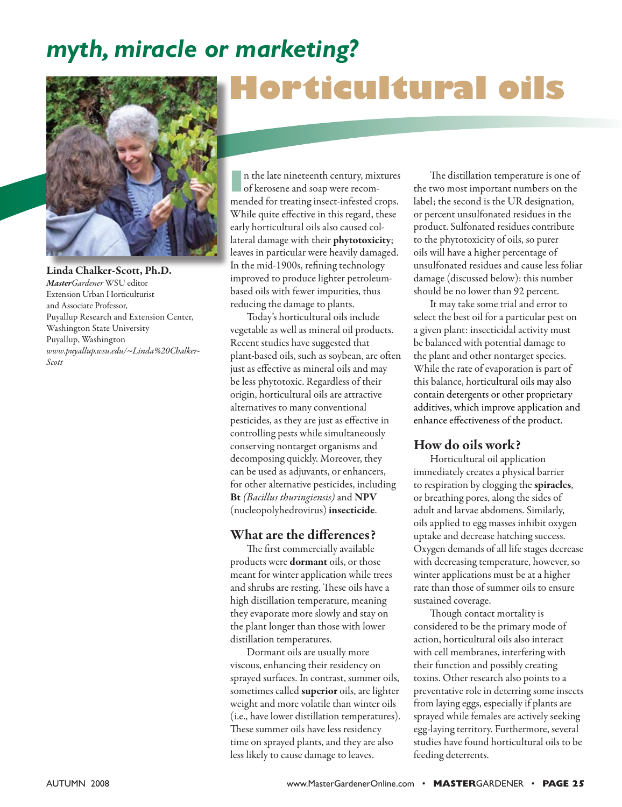## *myth, miracle or marketing?*



*MasterGardener* WSU editor Extension Urban Horticulturist and Associate Professor,

Washington State University Puyallup, Washington

*Scott*

Puyallup Research and Extension Center,

*www.puyallup.wsu.edu/~Linda%20Chalker-*

# **Horticultural oils**

**I**n the late nineteenth century, mixtures of kerosene and soap were recommended for treating insect-infested crops. While quite effective in this regard, these early horticultural oils also caused collateral damage with their phytotoxicity; leaves in particular were heavily damaged. In the mid-1900s, refining technology improved to produce lighter petroleumbased oils with fewer impurities, thus reducing the damage to plants.

Today's horticultural oils include vegetable as well as mineral oil products. Recent studies have suggested that plant-based oils, such as soybean, are often just as effective as mineral oils and may be less phytotoxic. Regardless of their origin, horticultural oils are attractive alternatives to many conventional pesticides, as they are just as effective in controlling pests while simultaneously conserving nontarget organisms and decomposing quickly. Moreover, they can be used as adjuvants, or enhancers, for other alternative pesticides, including Bt *(Bacillus thuringiensis)* and NPV (nucleopolyhedrovirus) insecticide.

### What are the differences?

The first commercially available products were dormant oils, or those meant for winter application while trees and shrubs are resting. These oils have a high distillation temperature, meaning they evaporate more slowly and stay on the plant longer than those with lower distillation temperatures.

Dormant oils are usually more viscous, enhancing their residency on sprayed surfaces. In contrast, summer oils, sometimes called superior oils, are lighter weight and more volatile than winter oils (i.e., have lower distillation temperatures). These summer oils have less residency time on sprayed plants, and they are also less likely to cause damage to leaves.

The distillation temperature is one of the two most important numbers on the label; the second is the UR designation, or percent unsulfonated residues in the product. Sulfonated residues contribute to the phytotoxicity of oils, so purer oils will have a higher percentage of unsulfonated residues and cause less foliar damage (discussed below): this number should be no lower than 92 percent.

It may take some trial and error to select the best oil for a particular pest on a given plant: insecticidal activity must be balanced with potential damage to the plant and other nontarget species. While the rate of evaporation is part of this balance, horticultural oils may also contain detergents or other proprietary additives, which improve application and enhance effectiveness of the product.

### How do oils work?

Horticultural oil application immediately creates a physical barrier to respiration by clogging the spiracles, or breathing pores, along the sides of adult and larvae abdomens. Similarly, oils applied to egg masses inhibit oxygen uptake and decrease hatching success. Oxygen demands of all life stages decrease with decreasing temperature, however, so winter applications must be at a higher rate than those of summer oils to ensure sustained coverage.

Though contact mortality is considered to be the primary mode of action, horticultural oils also interact with cell membranes, interfering with their function and possibly creating toxins. Other research also points to a preventative role in deterring some insects from laying eggs, especially if plants are sprayed while females are actively seeking egg-laying territory. Furthermore, several studies have found horticultural oils to be feeding deterrents.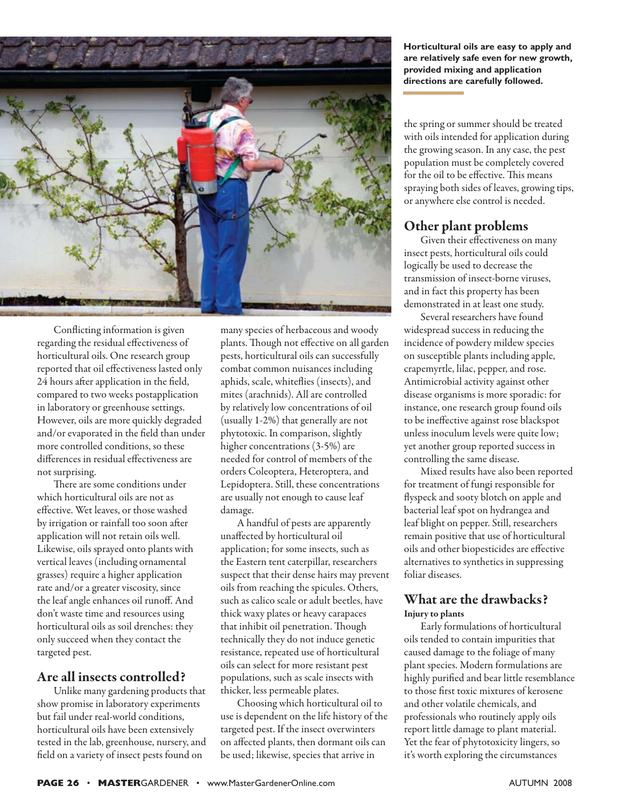

Conflicting information is given regarding the residual effectiveness of horticultural oils. One research group reported that oil effectiveness lasted only 24 hours after application in the field, compared to two weeks postapplication in laboratory or greenhouse settings. However, oils are more quickly degraded and/or evaporated in the field than under more controlled conditions, so these differences in residual effectiveness are not surprising.

There are some conditions under which horticultural oils are not as effective. Wet leaves, or those washed by irrigation or rainfall too soon after application will not retain oils well. Likewise, oils sprayed onto plants with vertical leaves (including ornamental grasses) require a higher application rate and/or a greater viscosity, since the leaf angle enhances oil runoff. And don't waste time and resources using horticultural oils as soil drenches: they only succeed when they contact the targeted pest.

### Are all insects controlled?

Unlike many gardening products that show promise in laboratory experiments but fail under real-world conditions, horticultural oils have been extensively tested in the lab, greenhouse, nursery, and field on a variety of insect pests found on

many species of herbaceous and woody plants. Though not effective on all garden pests, horticultural oils can successfully combat common nuisances including aphids, scale, whiteflies (insects), and mites (arachnids). All are controlled by relatively low concentrations of oil (usually 1-2%) that generally are not phytotoxic. In comparison, slightly higher concentrations (3-5%) are needed for control of members of the orders Coleoptera, Heteroptera, and Lepidoptera. Still, these concentrations are usually not enough to cause leaf damage.

A handful of pests are apparently unaffected by horticultural oil application; for some insects, such as the Eastern tent caterpillar, researchers suspect that their dense hairs may prevent oils from reaching the spicules. Others, such as calico scale or adult beetles, have thick waxy plates or heavy carapaces that inhibit oil penetration. Though technically they do not induce genetic resistance, repeated use of horticultural oils can select for more resistant pest populations, such as scale insects with thicker, less permeable plates.

Choosing which horticultural oil to use is dependent on the life history of the targeted pest. If the insect overwinters on affected plants, then dormant oils can be used; likewise, species that arrive in

**Horticultural oils are easy to apply and are relatively safe even for new growth, provided mixing and application directions are carefully followed.** 

the spring or summer should be treated with oils intended for application during the growing season. In any case, the pest population must be completely covered for the oil to be effective. This means spraying both sides of leaves, growing tips, or anywhere else control is needed.

### Other plant problems

Given their effectiveness on many insect pests, horticultural oils could logically be used to decrease the transmission of insect-borne viruses, and in fact this property has been demonstrated in at least one study.

Several researchers have found widespread success in reducing the incidence of powdery mildew species on susceptible plants including apple, crapemyrtle, lilac, pepper, and rose. Antimicrobial activity against other disease organisms is more sporadic: for instance, one research group found oils to be ineffective against rose blackspot unless inoculum levels were quite low; yet another group reported success in controlling the same disease.

Mixed results have also been reported for treatment of fungi responsible for flyspeck and sooty blotch on apple and bacterial leaf spot on hydrangea and leaf blight on pepper. Still, researchers remain positive that use of horticultural oils and other biopesticides are effective alternatives to synthetics in suppressing foliar diseases.

### What are the drawbacks? Injury to plants

Early formulations of horticultural oils tended to contain impurities that caused damage to the foliage of many plant species. Modern formulations are highly purified and bear little resemblance to those first toxic mixtures of kerosene and other volatile chemicals, and professionals who routinely apply oils report little damage to plant material. Yet the fear of phytotoxicity lingers, so it's worth exploring the circumstances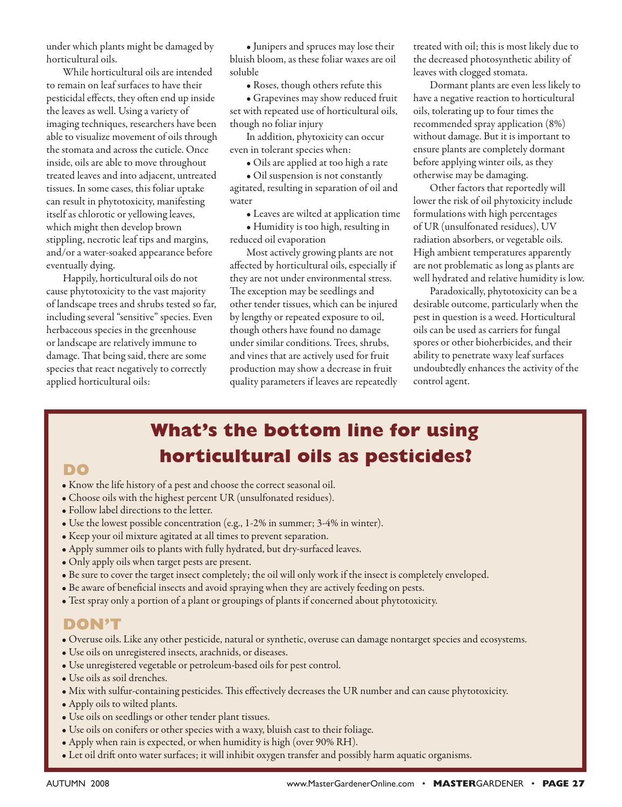under which plants might be damaged by horticultural oils.

While horticultural oils are intended to remain on leaf surfaces to have their pesticidal effects, they often end up inside the leaves as well. Using a variety of imaging techniques, researchers have been able to visualize movement of oils through the stomata and across the cuticle. Once inside, oils are able to move throughout treated leaves and into adjacent, untreated tissues. In some cases, this foliar uptake can result in phytotoxicity, manifesting itself as chlorotic or yellowing leaves, which might then develop brown stippling, necrotic leaf tips and margins, and/or a water-soaked appearance before eventually dying.

Happily, horticultural oils do not cause phytotoxicity to the vast majority of landscape trees and shrubs tested so far, including several "sensitive" species. Even herbaceous species in the greenhouse or landscape are relatively immune to damage. That being said, there are some species that react negatively to correctly applied horticultural oils:

• Junipers and spruces may lose their bluish bloom, as these foliar waxes are oil soluble

• Roses, though others refute this

• Grapevines may show reduced fruit set with repeated use of horticultural oils, though no foliar injury

In addition, phytoxicity can occur even in tolerant species when:

• Oils are applied at too high a rate

• Oil suspension is not constantly agitated, resulting in separation of oil and water

• Leaves are wilted at application time

• Humidity is too high, resulting in reduced oil evaporation

Most actively growing plants are not affected by horticultural oils, especially if they are not under environmental stress. The exception may be seedlings and other tender tissues, which can be injured by lengthy or repeated exposure to oil, though others have found no damage under similar conditions. Trees, shrubs, and vines that are actively used for fruit production may show a decrease in fruit quality parameters if leaves are repeatedly treated with oil; this is most likely due to the decreased photosynthetic ability of leaves with clogged stomata.

Dormant plants are even less likely to have a negative reaction to horticultural oils, tolerating up to four times the recommended spray application (8%) without damage. But it is important to ensure plants are completely dormant before applying winter oils, as they otherwise may be damaging.

Other factors that reportedly will lower the risk of oil phytoxicity include formulations with high percentages of UR (unsulfonated residues), UV radiation absorbers, or vegetable oils. High ambient temperatures apparently are not problematic as long as plants are well hydrated and relative humidity is low.

Paradoxically, phytotoxicity can be a desirable outcome, particularly when the pest in question is a weed. Horticultural oils can be used as carriers for fungal spores or other bioherbicides, and their ability to penetrate waxy leaf surfaces undoubtedly enhances the activity of the control agent.

## **What's the bottom line for using horticultural oils as pesticides? DO**

- Know the life history of a pest and choose the correct seasonal oil.
- Choose oils with the highest percent UR (unsulfonated residues).
- Follow label directions to the letter.
- Use the lowest possible concentration (e.g., 1-2% in summer; 3-4% in winter).
- Keep your oil mixture agitated at all times to prevent separation.
- Apply summer oils to plants with fully hydrated, but dry-surfaced leaves.
- Only apply oils when target pests are present.
- Be sure to cover the target insect completely; the oil will only work if the insect is completely enveloped.
- Be aware of beneficial insects and avoid spraying when they are actively feeding on pests.
- Test spray only a portion of a plant or groupings of plants if concerned about phytotoxicity.

### **DON'T**

- Overuse oils. Like any other pesticide, natural or synthetic, overuse can damage nontarget species and ecosystems.
- Use oils on unregistered insects, arachnids, or diseases.
- Use unregistered vegetable or petroleum-based oils for pest control.
- Use oils as soil drenches.
- Mix with sulfur-containing pesticides. This effectively decreases the UR number and can cause phytotoxicity.
- Apply oils to wilted plants.
- Use oils on seedlings or other tender plant tissues.
- Use oils on conifers or other species with a waxy, bluish cast to their foliage.
- Apply when rain is expected, or when humidity is high (over 90% RH).
- Let oil drift onto water surfaces; it will inhibit oxygen transfer and possibly harm aquatic organisms.